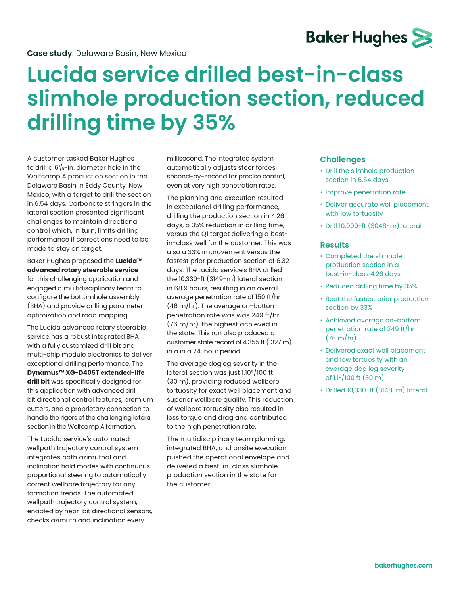

## **Lucida service drilled best-in-class slimhole production section, reduced drilling time by 35%**

A customer tasked Baker Hughes to drill a 6 $\frac{1}{8}$ -in. diameter hole in the Wolfcamp A production section in the Delaware Basin in Eddy County, New Mexico, with a target to drill the section in 6.54 days. Carbonate stringers in the lateral section presented significant challenges to maintain directional control which, in turn, limits drilling performance if corrections need to be made to stay on target.

Baker Hughes proposed the **Lucida™ advanced rotary steerable service** for this challenging application and engaged a multidisciplinary team to configure the bottomhole assembly (BHA) and provide drilling parameter optimization and road mapping.

The Lucida advanced rotary steerable service has a robust integrated BHA with a fully customized drill bit and multi-chip module electronics to deliver exceptional drilling performance. The **Dynamus™ XG-D405T extended-life drill bit** was specifically designed for this application with advanced drill bit directional control features, premium cutters, and a proprietary connection to handle the rigors of the challenging lateral section in the Wolfcamp A formation.

The Lucida service's automated wellpath trajectory control system integrates both azimuthal and inclination hold modes with continuous proportional steering to automatically correct wellbore trajectory for any formation trends. The automated wellpath trajectory control system, enabled by near-bit directional sensors, checks azimuth and inclination every

millisecond. The integrated system automatically adjusts steer forces second-by-second for precise control, even at very high penetration rates.

The planning and execution resulted in exceptional drilling performance, drilling the production section in 4.26 days, a 35% reduction in drilling time, versus the Q1 target delivering a bestin-class well for the customer. This was also a 33% improvement versus the fastest prior production section of 6.32 days. The Lucida service's BHA drilled the 10,330-ft (3149-m) lateral section in 68.9 hours, resulting in an overall average penetration rate of 150 ft/hr (46 m/hr). The average on-bottom penetration rate was was 249 ft/hr (76 m/hr), the highest achieved in the state. This run also produced a customer state record of 4,355 ft (1327 m) in a in a 24-hour period.

The average dogleg severity in the lateral section was just 1.10°/100 ft (30 m), providing reduced wellbore tortuosity for exact well placement and superior wellbore quality. This reduction of wellbore tortuosity also resulted in less torque and drag and contributed to the high penetration rate.

The multidisciplinary team planning, integrated BHA, and onsite execution pushed the operational envelope and delivered a best-in-class slimhole production section in the state for the customer.

## **Challenges**

- Drill the slimhole production section in 6.54 days
- Improve penetration rate
- Deliver accurate well placement with low tortuosity
- Drill 10,000-ft (3048-m) lateral

## **Results**

- Completed the slimhole production section in a best-in-class 4.26 days
- Reduced drilling time by 35%
- Beat the fastest prior production section by 33%
- Achieved average on-bottom penetration rate of 249 ft/hr (76 m/hr)
- Delivered exact well placement and low tortuosity with an average dog leg severity of 1.1°/100 ft (30 m)
- Drilled 10,330-ft (3148-m) lateral